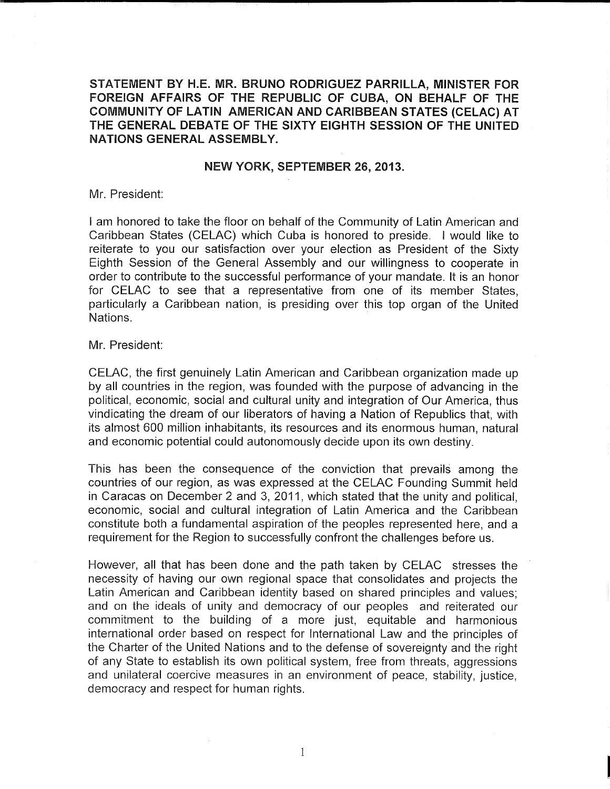STATEMENT BY H.E. MR. BRUNO RODRIGUEZ PARRILLA, MINISTER FOR FOREIGN AFFAIRS OF THE REPUBLIC OF CUBA, ON BEHALF OF THE COMMUNITY OF LATIN AMERICAN AND CARIBBEAN STATES (CELAC) AT THE GENERAL DEBATE OF THE SIXTY EIGHTH SESSION OF THE UNITED NATIONS GENERAL ASSEMBLY.

## NEW YORK, SEPTEMBER 26, 2013.

Mr. President:

I am honored to take the floor on behalf of the Community of Latin American and Caribbean States (CELAC) which Cuba is honored to preside. I would like to reiterate to you our satisfaction over your election as President of the Sixty Eighth Session of the General Assembly and our willingness to cooperate in order to contribute to the successful performance of your mandate. It is an honor for CELAC to see that a representative from one of its member States, particularly a Caribbean nation, is presiding over this top organ of the United Nations.

## Mr. President:

CELAC, the first genuinely Latin American and Caribbean organization made up by all countries in the region, was founded with the purpose of advancing in the political, economic, social and cultural unity and integration of Our America, thus vindicating the dream of our liberators of having a Nation of Republics that, with its almost 600 million inhabitants, its resources and its enormous human, natural and economic potential could autonomously decide upon its own destiny.

This has been the consequence of the conviction that prevails among the countries of our region, as was expressed at the CELAC Founding Summit held in Caracas on December 2 and 3, 2011, which stated that the unity and political, economic, social and cultural integration of Latin America and the Caribbean constitute both a fundamental aspiration of the peoples represented here, and a requirement for the Region to successfully confront the challenges before us.

However, all that has been done and the path taken by CELAC stresses the necessity of having our own regional space that consolidates and projects the Latin American and Caribbean identity based on shared principles and values; and on the ideals of unity and democracy of our peoples and reiterated our commitment to the building of a more just, equitable and harmonious international order based on respect for International Law and the principles of the Charter of the United Nations and to the defense of sovereignty and the right of any State to establish its own political system, free from threats, aggressions and unilateral coercive measures in an environment of peace, stability, justice, democracy and respect for human rights.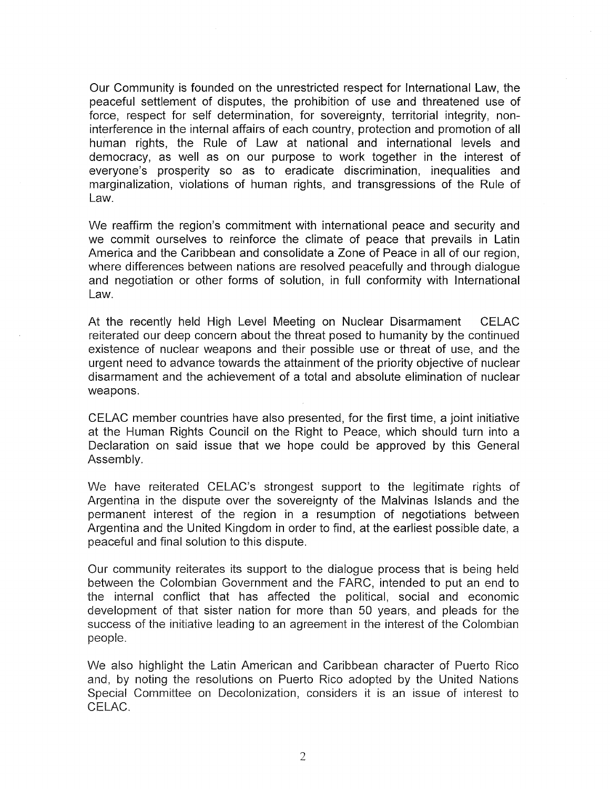Our Community is founded on the unrestricted respect for International Law, the peaceful settlement of disputes, the prohibition of use and threatened use of force, respect for self determination, for sovereignty, territorial integrity, noninterference in the internal affairs of each country, protection and promotion of all human rights, the Rule of Law at national and international levels and democracy, as well as on our purpose to work together in the interest of everyone's prosperity so as to eradicate discrimination, inequalities and marginalization, violations of human rights, and transgressions of the Rule of Law.

We reaffirm the region's commitment with international peace and security and we commit ourselves to reinforce the climate of peace that prevails in Latin America and the Caribbean and consolidate a Zone of Peace in all of our region, where differences between nations are resolved peacefully and through dialogue and negotiation or other forms of solution, in full conformity with International Law.

At the recently held High Level Meeting on Nuclear Disarmament CELAC reiterated our deep concern about the threat posed to humanity by the continued existence of nuclear weapons and their possible use or threat of use, and the urgent need to advance towards the attainment of the priority objective of nuclear disarmament and the achievement of a total and absolute elimination of nuclear weapons.

CELAC member countries have also presented, for the first time, a joint initiative at the Human Rights Council on the Right to Peace, which should turn into a Declaration on said issue that we hope could be approved by this General Assembly.

We have reiterated CELAC's strongest support to the legitimate rights of Argentina in the dispute over the sovereignty of the Malvinas Islands and the permanent interest of the region in a resumption of negotiations between Argentina and the United Kingdom in order to find, at the earliest possible date, a peaceful and final solution to this dispute.

Our community reiterates its support to the dialogue process that is being held between the Colombian Government and the FARC, intended to put an end to the internal conflict that has affected the political, social and economic development of that sister nation for more than 50 years, and pleads for the success of the initiative leading to an agreement in the interest of the Colombian people.

We also highlight the Latin American and Caribbean character of Puerto Rico and, by noting the resolutions on Puerto Rico adopted by the United Nations Special Committee on Decolonization, considers it is an issue of interest to CELAC.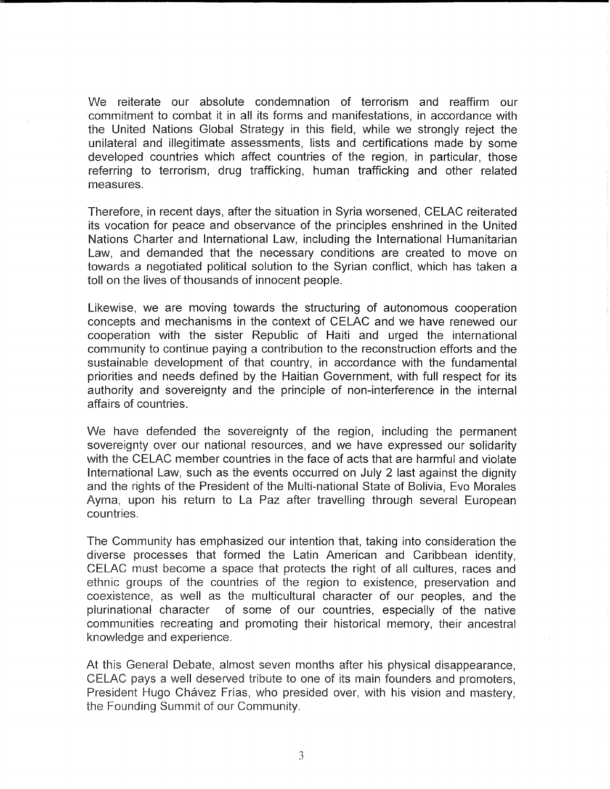We reiterate our absolute condemnation of terrorism and reaffirm our commitment to combat it in all its forms and manifestations, in accordance with the United Nations Global Strategy in this field, while we strongly reject the unilateral and illegitimate assessments, lists and certifications made by some developed countries which affect countries of the region, in particular, those referring to terrorism, drug trafficking, human trafficking and other related measures.

Therefore, in recent days, after the situation in Syria worsened, CELAC reiterated its vocation for peace and observance of the principles enshrined in the United Nations Charter and International Law, including the International Humanitarian Law, and demanded that the necessary conditions are created to move on towards a negotiated political solution to the Syrian conflict, which has taken a toll on the lives of thousands of innocent people.

Likewise, we are moving towards the structuring of autonomous cooperation concepts and mechanisms in the context of CELAC and we have renewed our cooperation with the sister Republic of Haiti and urged the international community to continue paying a contribution to the reconstruction efforts and the sustainable development of that country, in accordance with the fundamental priorities and needs defined by the Haitian Government, with full respect for its authority and sovereignty and the principle of non-interference in the internal affairs of countries.

We have defended the sovereignty of the region, including the permanent sovereignty over our national resources, and we have expressed our solidarity with the CELAC member countries in the face of acts that are harmful and violate International Law, such as the events occurred on July 2 last against the dignity and the rights of the President of the Multi-national State of Bolivia, Evo Morales Ayma, upon his return to La Paz after travelling through several European countries.

The Community has emphasized our intention that, taking into consideration the diverse processes that formed the Latin American and Caribbean identity, CELAC must become a space that protects the right of all cultures, races and ethnic groups of the countries of the region to existence, preservation and coexistence, as well as the multicultural character of our peoples, and the plurinationa! character of some of our countries, especially of the native communities recreating and promoting their historical memory, their ancestral knowledge and experience.

At this General Debate, almost seven months after his physical disappearance, CELAC pays a well deserved tribute to one of its main founders and promoters, President Hugo Chávez Frías, who presided over, with his vision and mastery, the Founding Summit of our Community.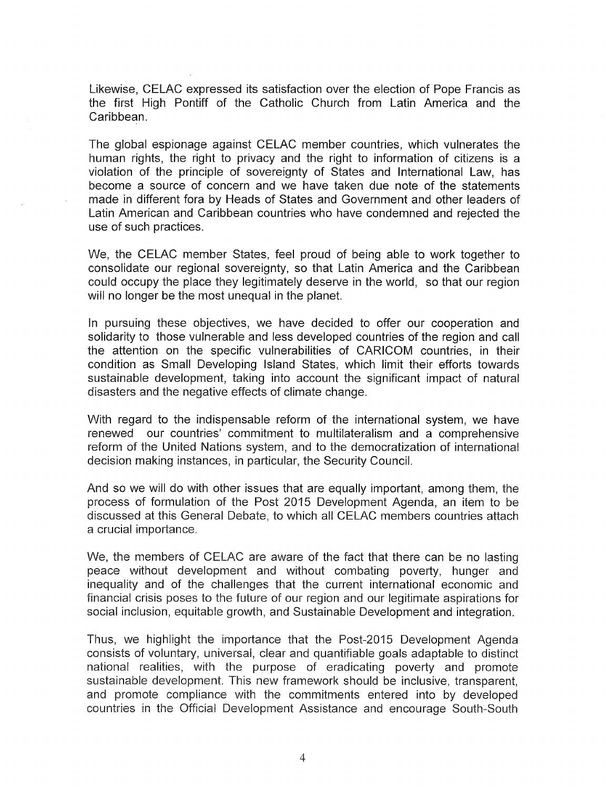Likewise, CELAC expressed its satisfaction over the election of Pope Francis as the first High Pontiff of the Catholic Church from Latin America and the Caribbean.

The global espionage against CELAC member countries, which vulnerates the human rights, the right to privacy and the right to information of citizens is a violation of the principle of sovereignty of States and International Law, has become a source of concern and we have taken due note of the statements made in different fora by Heads of States and Government and other leaders of Latin American and Caribbean countries who have condemned and rejected the use of such practices.

We, the CELAC member States, feel proud of being able to work together to consolidate our regional sovereignty, so that Latin America and the Caribbean could occupy the place they legitimately deserve in the world, so that our region will no longer be the most unequal in the planet.

In pursuing these objectives, we have decided to offer our cooperation and solidarity to those vulnerable and less developed countries of the region and call the attention on the specific vulnerabilities of CARICOM countries, in their condition as Small Developing Island States, which limit their efforts towards sustainable development, taking into account the significant impact of natural disasters and the negative effects of climate change.

With regard to the indispensable reform of the international system, we have renewed our countries' commitment to multilateralism and a comprehensive reform of the United Nations system, and to the democratization of international decision making instances, in particular, the Security Council.

And so we will do with other issues that are equally important, among them, the process of formulation of the Post 2015 Development Agenda, an item to be discussed at this General Debate, to which all CELAC members countries attach a crucial importance.

We, the members of CELAC are aware of the fact that there can be no lasting peace without development and without combating poverty, hunger and inequality and of the challenges that the current international economic and financial crisis poses to the future of our region and our legitimate aspirations for social inclusion, equitable growth, and Sustainable Development and integration.

Thus, we highlight the importance that the Post-2015 Development Agenda consists of voluntary, universal, clear and quantifiable goals adaptable to distinct national realities, with the purpose of eradicating poverty and promote sustainable development. This new framework should be inclusive, transparent, and promote compliance with the commitments entered into by developed countries in the Official Development Assistance and encourage South-South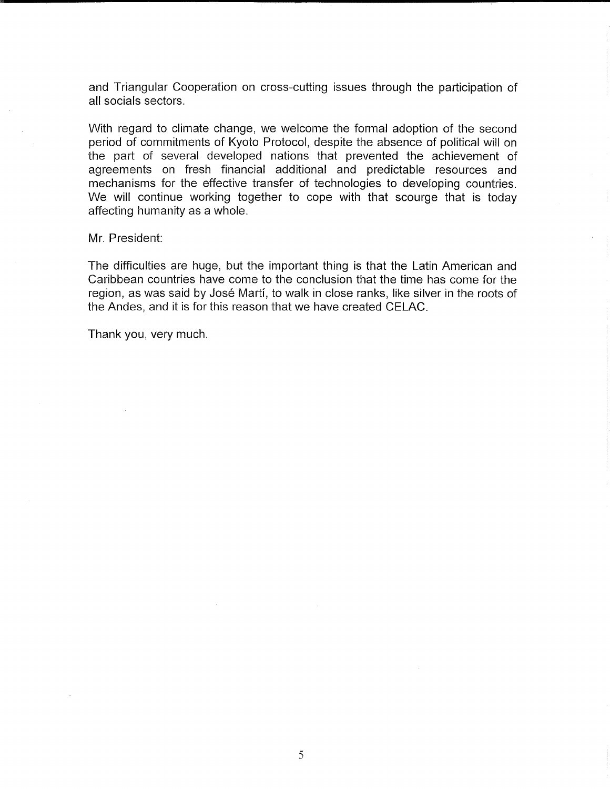and Triangular Cooperation on cross-cutting issues through the participation of all socials sectors.

With regard to climate change, we welcome the formal adoption of the second period of commitments of Kyoto Protocol, despite the absence of political will on the part of several developed nations that prevented the achievement of agreements on fresh financial additional and predictable resources and mechanisms for the effective transfer of technologies to developing countries. We will continue working together to cope with that scourge that is today affecting humanity as a whole.

Mr. President:

The difficulties are huge, but the important thing is that the Latin American and Caribbean countries have come to the conclusion that the time has come for the region, as was said by José Martí, to walk in close ranks, like silver in the roots of the Andes, and it is for this reason that we have created CELAC.

Thank you, very much.